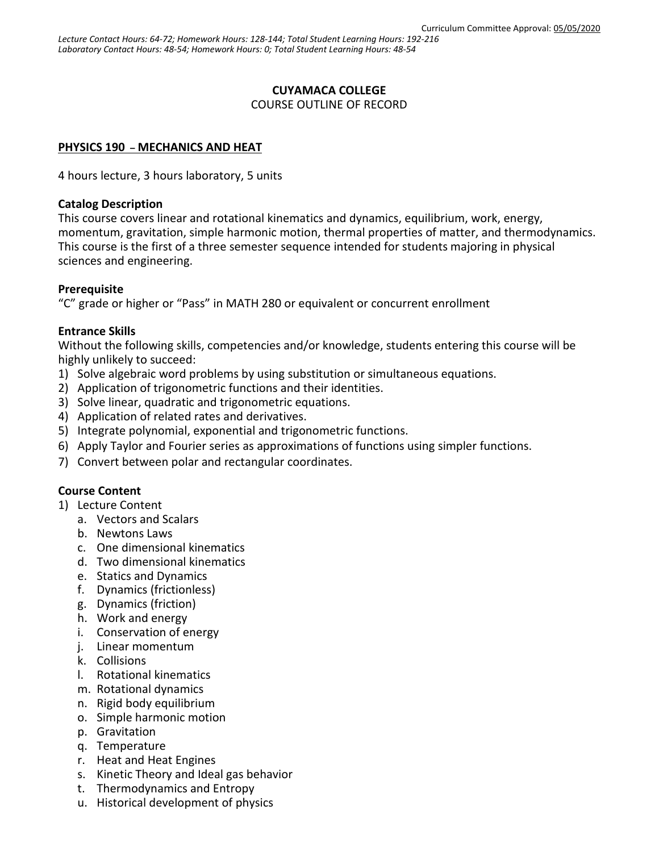### **CUYAMACA COLLEGE**

COURSE OUTLINE OF RECORD

### **PHYSICS 190 – MECHANICS AND HEAT**

4 hours lecture, 3 hours laboratory, 5 units

#### **Catalog Description**

This course covers linear and rotational kinematics and dynamics, equilibrium, work, energy, momentum, gravitation, simple harmonic motion, thermal properties of matter, and thermodynamics. This course is the first of a three semester sequence intended for students majoring in physical sciences and engineering.

### **Prerequisite**

"C" grade or higher or "Pass" in MATH 280 or equivalent or concurrent enrollment

### **Entrance Skills**

Without the following skills, competencies and/or knowledge, students entering this course will be highly unlikely to succeed:

- 1) Solve algebraic word problems by using substitution or simultaneous equations.
- 2) Application of trigonometric functions and their identities.
- 3) Solve linear, quadratic and trigonometric equations.
- 4) Application of related rates and derivatives.
- 5) Integrate polynomial, exponential and trigonometric functions.
- 6) Apply Taylor and Fourier series as approximations of functions using simpler functions.
- 7) Convert between polar and rectangular coordinates.

# **Course Content**

- 1) Lecture Content
	- a. Vectors and Scalars
	- b. Newtons Laws
	- c. One dimensional kinematics
	- d. Two dimensional kinematics
	- e. Statics and Dynamics
	- f. Dynamics (frictionless)
	- g. Dynamics (friction)
	- h. Work and energy
	- i. Conservation of energy
	- j. Linear momentum
	- k. Collisions
	- l. Rotational kinematics
	- m. Rotational dynamics
	- n. Rigid body equilibrium
	- o. Simple harmonic motion
	- p. Gravitation
	- q. Temperature
	- r. Heat and Heat Engines
	- s. Kinetic Theory and Ideal gas behavior
	- t. Thermodynamics and Entropy
	- u. Historical development of physics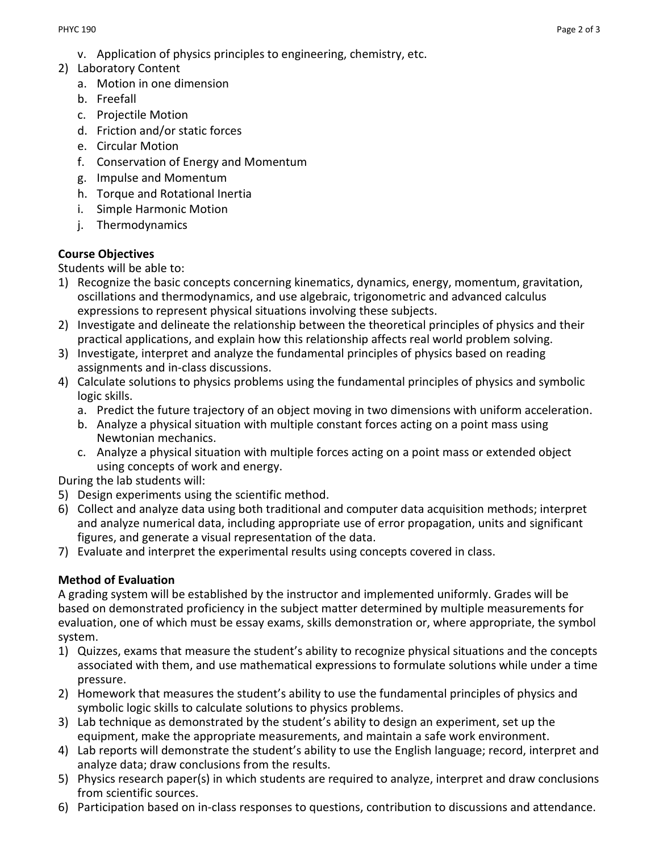- v. Application of physics principles to engineering, chemistry, etc.
- 2) Laboratory Content
	- a. Motion in one dimension
	- b. Freefall
	- c. Projectile Motion
	- d. Friction and/or static forces
	- e. Circular Motion
	- f. Conservation of Energy and Momentum
	- g. Impulse and Momentum
	- h. Torque and Rotational Inertia
	- i. Simple Harmonic Motion
	- j. Thermodynamics

### **Course Objectives**

Students will be able to:

- 1) Recognize the basic concepts concerning kinematics, dynamics, energy, momentum, gravitation, oscillations and thermodynamics, and use algebraic, trigonometric and advanced calculus expressions to represent physical situations involving these subjects.
- 2) Investigate and delineate the relationship between the theoretical principles of physics and their practical applications, and explain how this relationship affects real world problem solving.
- 3) Investigate, interpret and analyze the fundamental principles of physics based on reading assignments and in-class discussions.
- 4) Calculate solutions to physics problems using the fundamental principles of physics and symbolic logic skills.
	- a. Predict the future trajectory of an object moving in two dimensions with uniform acceleration.
	- b. Analyze a physical situation with multiple constant forces acting on a point mass using Newtonian mechanics.
	- c. Analyze a physical situation with multiple forces acting on a point mass or extended object using concepts of work and energy.

During the lab students will:

- 5) Design experiments using the scientific method.
- 6) Collect and analyze data using both traditional and computer data acquisition methods; interpret and analyze numerical data, including appropriate use of error propagation, units and significant figures, and generate a visual representation of the data.
- 7) Evaluate and interpret the experimental results using concepts covered in class.

# **Method of Evaluation**

A grading system will be established by the instructor and implemented uniformly. Grades will be based on demonstrated proficiency in the subject matter determined by multiple measurements for evaluation, one of which must be essay exams, skills demonstration or, where appropriate, the symbol system.

- 1) Quizzes, exams that measure the student's ability to recognize physical situations and the concepts associated with them, and use mathematical expressions to formulate solutions while under a time pressure.
- 2) Homework that measures the student's ability to use the fundamental principles of physics and symbolic logic skills to calculate solutions to physics problems.
- 3) Lab technique as demonstrated by the student's ability to design an experiment, set up the equipment, make the appropriate measurements, and maintain a safe work environment.
- 4) Lab reports will demonstrate the student's ability to use the English language; record, interpret and analyze data; draw conclusions from the results.
- 5) Physics research paper(s) in which students are required to analyze, interpret and draw conclusions from scientific sources.
- 6) Participation based on in-class responses to questions, contribution to discussions and attendance.